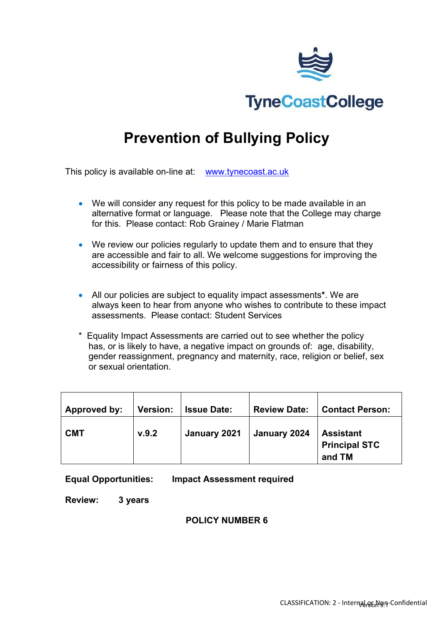

# **Prevention of Bullying Policy**

This policy is available on-line at: [www.tynecoast.ac.uk](http://www.tynecoast.ac.uk/)

- We will consider any request for this policy to be made available in an alternative format or language. Please note that the College may charge for this. Please contact: Rob Grainey / Marie Flatman
- We review our policies regularly to update them and to ensure that they are accessible and fair to all. We welcome suggestions for improving the accessibility or fairness of this policy.
- All our policies are subject to equality impact assessments**\***. We are always keen to hear from anyone who wishes to contribute to these impact assessments. Please contact: Student Services
- \* Equality Impact Assessments are carried out to see whether the policy has, or is likely to have, a negative impact on grounds of: age, disability, gender reassignment, pregnancy and maternity, race, religion or belief, sex or sexual orientation.

| Approved by: | <b>Version:</b> | <b>Issue Date:</b> | <b>Review Date:</b> | <b>Contact Person:</b>                             |
|--------------|-----------------|--------------------|---------------------|----------------------------------------------------|
| <b>CMT</b>   | V.9.2           | January 2021       | January 2024        | <b>Assistant</b><br><b>Principal STC</b><br>and TM |

#### **Equal Opportunities: Impact Assessment required**

**Review: 3 years**

#### **POLICY NUMBER 6**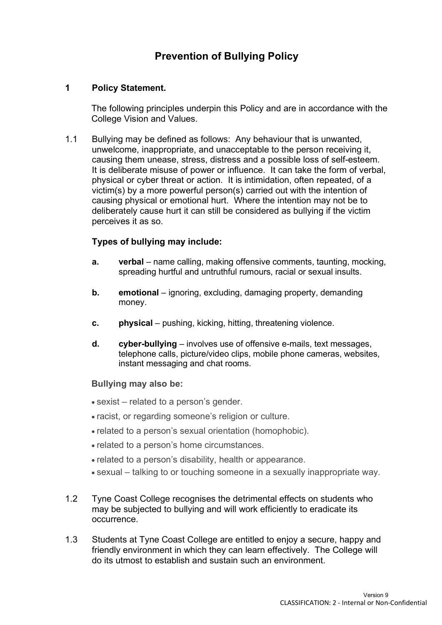### **Prevention of Bullying Policy**

#### **1 Policy Statement.**

The following principles underpin this Policy and are in accordance with the College Vision and Values.

1.1 Bullying may be defined as follows: Any behaviour that is unwanted, unwelcome, inappropriate, and unacceptable to the person receiving it, causing them unease, stress, distress and a possible loss of self-esteem. It is deliberate misuse of power or influence. It can take the form of verbal, physical or cyber threat or action. It is intimidation, often repeated, of a victim(s) by a more powerful person(s) carried out with the intention of causing physical or emotional hurt. Where the intention may not be to deliberately cause hurt it can still be considered as bullying if the victim perceives it as so.

#### **Types of bullying may include:**

- **a. verbal** name calling, making offensive comments, taunting, mocking, spreading hurtful and untruthful rumours, racial or sexual insults.
- **b. emotional** ignoring, excluding, damaging property, demanding money.
- **c. physical** pushing, kicking, hitting, threatening violence.
- **d. cyber-bullying**  involves use of offensive e-mails, text messages, telephone calls, picture/video clips, mobile phone cameras, websites, instant messaging and chat rooms.

#### **Bullying may also be:**

- sexist related to a person's gender.
- racist, or regarding someone's religion or culture.
- related to a person's sexual orientation (homophobic).
- related to a person's home circumstances.
- related to a person's disability, health or appearance.
- sexual talking to or touching someone in a sexually inappropriate way.
- 1.2 Tyne Coast College recognises the detrimental effects on students who may be subjected to bullying and will work efficiently to eradicate its occurrence.
- 1.3 Students at Tyne Coast College are entitled to enjoy a secure, happy and friendly environment in which they can learn effectively. The College will do its utmost to establish and sustain such an environment.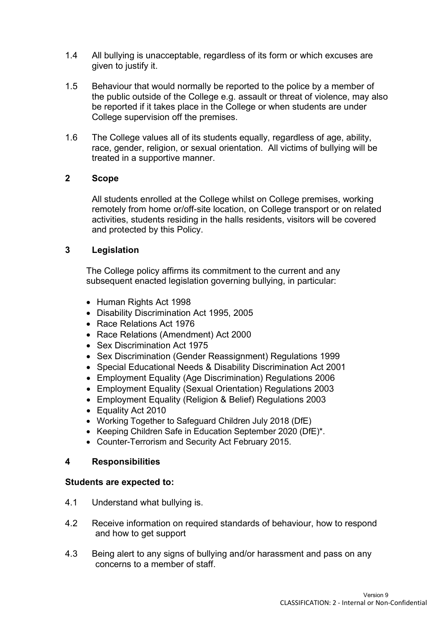- 1.4 All bullying is unacceptable, regardless of its form or which excuses are given to justify it.
- 1.5 Behaviour that would normally be reported to the police by a member of the public outside of the College e.g. assault or threat of violence, may also be reported if it takes place in the College or when students are under College supervision off the premises.
- 1.6 The College values all of its students equally, regardless of age, ability, race, gender, religion, or sexual orientation. All victims of bullying will be treated in a supportive manner.

#### **2 Scope**

All students enrolled at the College whilst on College premises, working remotely from home or/off-site location, on College transport or on related activities, students residing in the halls residents, visitors will be covered and protected by this Policy.

#### **3 Legislation**

The College policy affirms its commitment to the current and any subsequent enacted legislation governing bullying, in particular:

- Human Rights Act 1998
- Disability Discrimination Act 1995, 2005
- Race Relations Act 1976
- Race Relations (Amendment) Act 2000
- Sex Discrimination Act 1975
- Sex Discrimination (Gender Reassignment) Regulations 1999
- Special Educational Needs & Disability Discrimination Act 2001
- Employment Equality (Age Discrimination) Regulations 2006
- Employment Equality (Sexual Orientation) Regulations 2003
- Employment Equality (Religion & Belief) Regulations 2003
- Equality Act 2010
- Working Together to Safeguard Children July 2018 (DfE)
- Keeping Children Safe in Education September 2020 (DfE)\*.
- Counter-Terrorism and Security Act February 2015.

#### **4 Responsibilities**

#### **Students are expected to:**

- 4.1 Understand what bullying is.
- 4.2 Receive information on required standards of behaviour, how to respond and how to get support
- 4.3 Being alert to any signs of bullying and/or harassment and pass on any concerns to a member of staff.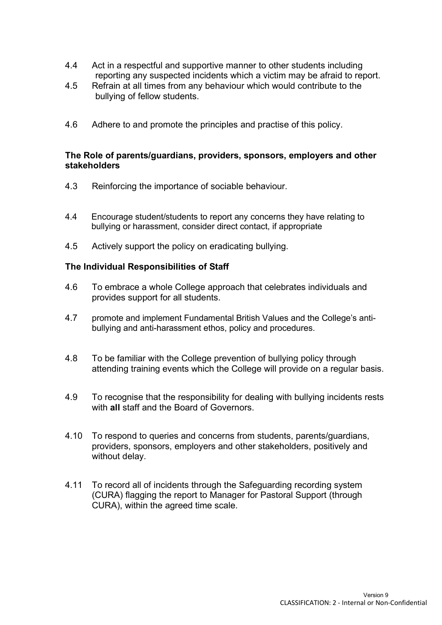- 4.4 Act in a respectful and supportive manner to other students including reporting any suspected incidents which a victim may be afraid to report.
- 4.5 Refrain at all times from any behaviour which would contribute to the bullying of fellow students.
- 4.6 Adhere to and promote the principles and practise of this policy.

#### **The Role of parents/guardians, providers, sponsors, employers and other stakeholders**

- 4.3 Reinforcing the importance of sociable behaviour.
- 4.4 Encourage student/students to report any concerns they have relating to bullying or harassment, consider direct contact, if appropriate
- 4.5 Actively support the policy on eradicating bullying.

#### **The Individual Responsibilities of Staff**

- 4.6 To embrace a whole College approach that celebrates individuals and provides support for all students.
- 4.7 promote and implement Fundamental British Values and the College's antibullying and anti-harassment ethos, policy and procedures.
- 4.8 To be familiar with the College prevention of bullying policy through attending training events which the College will provide on a regular basis.
- 4.9 To recognise that the responsibility for dealing with bullying incidents rests with **all** staff and the Board of Governors.
- 4.10 To respond to queries and concerns from students, parents/guardians, providers, sponsors, employers and other stakeholders, positively and without delay.
- 4.11 To record all of incidents through the Safeguarding recording system (CURA) flagging the report to Manager for Pastoral Support (through CURA), within the agreed time scale.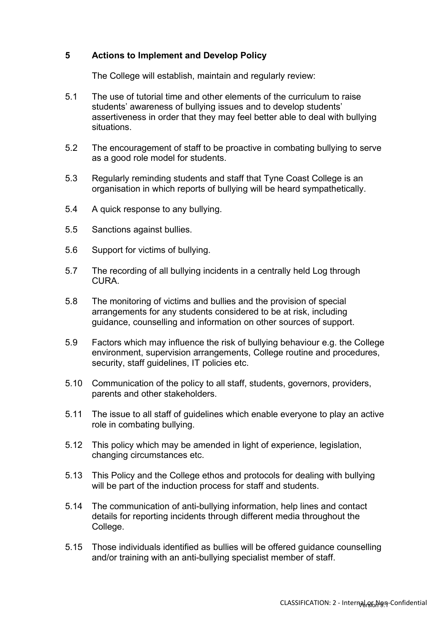#### **5 Actions to Implement and Develop Policy**

The College will establish, maintain and regularly review:

- 5.1 The use of tutorial time and other elements of the curriculum to raise students' awareness of bullying issues and to develop students' assertiveness in order that they may feel better able to deal with bullying situations.
- 5.2 The encouragement of staff to be proactive in combating bullying to serve as a good role model for students.
- 5.3 Regularly reminding students and staff that Tyne Coast College is an organisation in which reports of bullying will be heard sympathetically.
- 5.4 A quick response to any bullying.
- 5.5 Sanctions against bullies.
- 5.6 Support for victims of bullying.
- 5.7 The recording of all bullying incidents in a centrally held Log through CURA.
- 5.8 The monitoring of victims and bullies and the provision of special arrangements for any students considered to be at risk, including guidance, counselling and information on other sources of support.
- 5.9 Factors which may influence the risk of bullying behaviour e.g. the College environment, supervision arrangements, College routine and procedures, security, staff guidelines, IT policies etc.
- 5.10 Communication of the policy to all staff, students, governors, providers, parents and other stakeholders.
- 5.11 The issue to all staff of guidelines which enable everyone to play an active role in combating bullying.
- 5.12 This policy which may be amended in light of experience, legislation, changing circumstances etc.
- 5.13 This Policy and the College ethos and protocols for dealing with bullying will be part of the induction process for staff and students.
- 5.14 The communication of anti-bullying information, help lines and contact details for reporting incidents through different media throughout the College.
- 5.15 Those individuals identified as bullies will be offered guidance counselling and/or training with an anti-bullying specialist member of staff.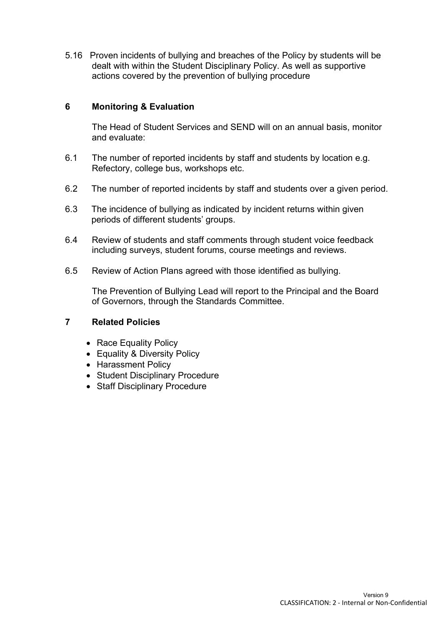5.16 Proven incidents of bullying and breaches of the Policy by students will be dealt with within the Student Disciplinary Policy. As well as supportive actions covered by the prevention of bullying procedure

#### **6 Monitoring & Evaluation**

The Head of Student Services and SEND will on an annual basis, monitor and evaluate:

- 6.1 The number of reported incidents by staff and students by location e.g. Refectory, college bus, workshops etc.
- 6.2 The number of reported incidents by staff and students over a given period.
- 6.3 The incidence of bullying as indicated by incident returns within given periods of different students' groups.
- 6.4 Review of students and staff comments through student voice feedback including surveys, student forums, course meetings and reviews.
- 6.5 Review of Action Plans agreed with those identified as bullying.

The Prevention of Bullying Lead will report to the Principal and the Board of Governors, through the Standards Committee.

#### **7 Related Policies**

- Race Equality Policy
- Equality & Diversity Policy
- Harassment Policy
- Student Disciplinary Procedure
- Staff Disciplinary Procedure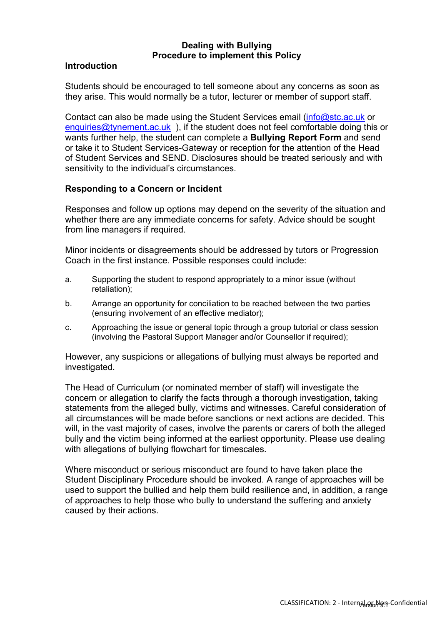#### **Dealing with Bullying Procedure to implement this Policy**

#### **Introduction**

Students should be encouraged to tell someone about any concerns as soon as they arise. This would normally be a tutor, lecturer or member of support staff.

Contact can also be made using the Student Services email [\(info@stc.ac.uk](mailto:info@stc.ac.uk) or [enquiries@tynement.ac.uk](mailto:enquiries@tynement.ac.uk)), if the student does not feel comfortable doing this or wants further help, the student can complete a **Bullying Report Form** and send or take it to Student Services-Gateway or reception for the attention of the Head of Student Services and SEND. Disclosures should be treated seriously and with sensitivity to the individual's circumstances.

#### **Responding to a Concern or Incident**

Responses and follow up options may depend on the severity of the situation and whether there are any immediate concerns for safety. Advice should be sought from line managers if required.

Minor incidents or disagreements should be addressed by tutors or Progression Coach in the first instance. Possible responses could include:

- a. Supporting the student to respond appropriately to a minor issue (without retaliation);
- b. Arrange an opportunity for conciliation to be reached between the two parties (ensuring involvement of an effective mediator);
- c. Approaching the issue or general topic through a group tutorial or class session (involving the Pastoral Support Manager and/or Counsellor if required);

However, any suspicions or allegations of bullying must always be reported and investigated.

The Head of Curriculum (or nominated member of staff) will investigate the concern or allegation to clarify the facts through a thorough investigation, taking statements from the alleged bully, victims and witnesses. Careful consideration of all circumstances will be made before sanctions or next actions are decided. This will, in the vast majority of cases, involve the parents or carers of both the alleged bully and the victim being informed at the earliest opportunity. Please use dealing with allegations of bullying flowchart for timescales.

Where misconduct or serious misconduct are found to have taken place the Student Disciplinary Procedure should be invoked. A range of approaches will be used to support the bullied and help them build resilience and, in addition, a range of approaches to help those who bully to understand the suffering and anxiety caused by their actions.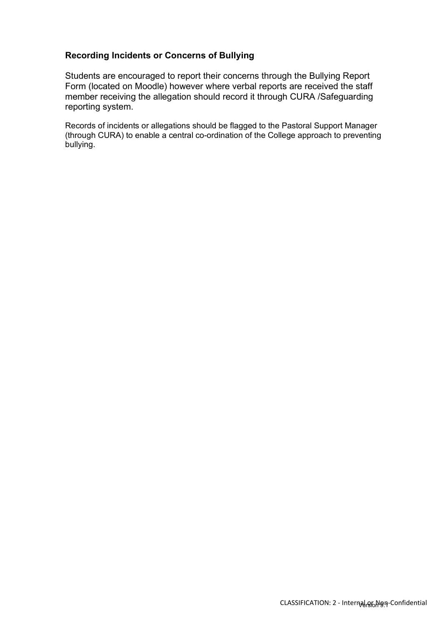#### **Recording Incidents or Concerns of Bullying**

Students are encouraged to report their concerns through the Bullying Report Form (located on Moodle) however where verbal reports are received the staff member receiving the allegation should record it through CURA /Safeguarding reporting system.

Records of incidents or allegations should be flagged to the Pastoral Support Manager (through CURA) to enable a central co-ordination of the College approach to preventing bullying.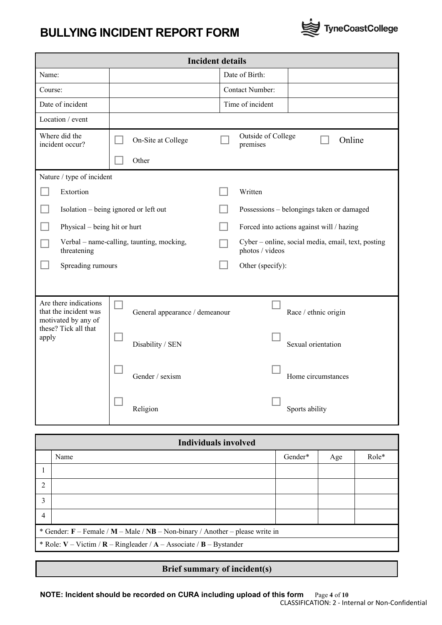## **BULLYING INCIDENT REPORT FORM**



| <b>Incident details</b>                                                                                |                                |                                                                       |  |  |  |
|--------------------------------------------------------------------------------------------------------|--------------------------------|-----------------------------------------------------------------------|--|--|--|
| Name:                                                                                                  |                                | Date of Birth:                                                        |  |  |  |
| Course:                                                                                                |                                | <b>Contact Number:</b>                                                |  |  |  |
| Date of incident                                                                                       |                                | Time of incident                                                      |  |  |  |
| Location / event                                                                                       |                                |                                                                       |  |  |  |
| Where did the<br>incident occur?                                                                       | On-Site at College             | Outside of College<br>Online<br>premises                              |  |  |  |
|                                                                                                        | Other                          |                                                                       |  |  |  |
| Nature / type of incident                                                                              |                                |                                                                       |  |  |  |
| Extortion                                                                                              |                                | Written                                                               |  |  |  |
| Isolation – being ignored or left out                                                                  |                                | Possessions - belongings taken or damaged                             |  |  |  |
| Physical – being hit or hurt                                                                           |                                | Forced into actions against will / hazing                             |  |  |  |
| Verbal - name-calling, taunting, mocking,<br>threatening                                               |                                | Cyber - online, social media, email, text, posting<br>photos / videos |  |  |  |
| Spreading rumours                                                                                      |                                | Other (specify):                                                      |  |  |  |
|                                                                                                        |                                |                                                                       |  |  |  |
| Are there indications<br>that the incident was<br>motivated by any of<br>these? Tick all that<br>apply | General appearance / demeanour | Race / ethnic origin                                                  |  |  |  |
|                                                                                                        | Disability / SEN               | Sexual orientation                                                    |  |  |  |
|                                                                                                        | Gender / sexism                | Home circumstances                                                    |  |  |  |
|                                                                                                        | Religion                       | Sports ability                                                        |  |  |  |

| <b>Individuals involved</b>                                                     |      |         |     |       |  |
|---------------------------------------------------------------------------------|------|---------|-----|-------|--|
|                                                                                 | Name | Gender* | Age | Role* |  |
|                                                                                 |      |         |     |       |  |
| $\overline{2}$                                                                  |      |         |     |       |  |
| 3                                                                               |      |         |     |       |  |
| $\overline{4}$                                                                  |      |         |     |       |  |
| * Gender: $F$ – Female / M – Male / NB – Non-binary / Another – please write in |      |         |     |       |  |
| * Role: $V - Victim / R - Ringleader / A - Associate / B - Bystander$           |      |         |     |       |  |

#### **Brief summary of incident(s)**